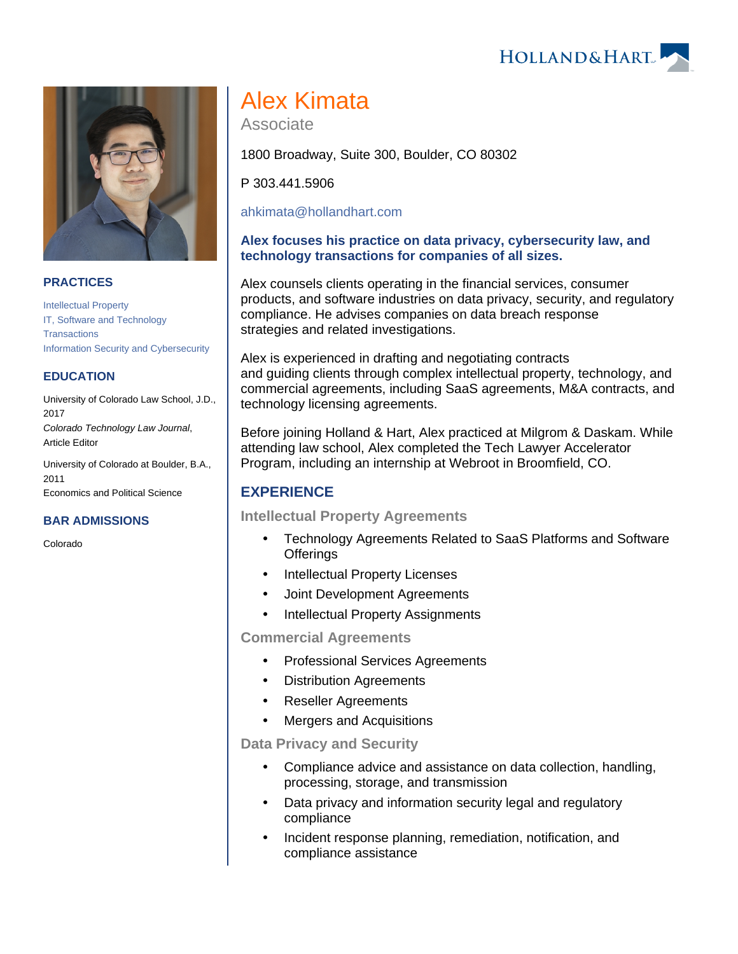



#### **PRACTICES**

[Intellectual Property](https://www.hollandhart.com/19664) [IT, Software and Technology](https://www.hollandhart.com/29195)  **[Transactions](https://www.hollandhart.com/29195)** [Information Security and Cybersecurity](https://www.hollandhart.com/19765)

#### **EDUCATION**

University of Colorado Law School, J.D., 2017 Colorado Technology Law Journal, Article Editor

University of Colorado at Boulder, B.A., 2011 Economics and Political Science

## **BAR ADMISSIONS**

Colorado

# Alex Kimata

Associate

1800 Broadway, Suite 300, Boulder, CO 80302

P 303.441.5906

[ahkimata@hollandhart.com](mailto:ahkimata@hollandhart.com)

#### **Alex focuses his practice on data privacy, cybersecurity law, and technology transactions for companies of all sizes.**

Alex counsels clients operating in the financial services, consumer products, and software industries on data privacy, security, and regulatory compliance. He advises companies on data breach response strategies and related investigations.

Alex is experienced in drafting and negotiating contracts and guiding clients through complex intellectual property, technology, and commercial agreements, including SaaS agreements, M&A contracts, and technology licensing agreements.

Before joining Holland & Hart, Alex practiced at Milgrom & Daskam. While attending law school, Alex completed the Tech Lawyer Accelerator Program, including an internship at Webroot in Broomfield, CO.

# **EXPERIENCE**

## **Intellectual Property Agreements**

- Technology Agreements Related to SaaS Platforms and Software **Offerings**
- Intellectual Property Licenses
- Joint Development Agreements
- Intellectual Property Assignments

**Commercial Agreements** 

- Professional Services Agreements
- Distribution Agreements
- Reseller Agreements
- Mergers and Acquisitions

**Data Privacy and Security** 

- Compliance advice and assistance on data collection, handling, processing, storage, and transmission
- Data privacy and information security legal and regulatory compliance
- Incident response planning, remediation, notification, and compliance assistance